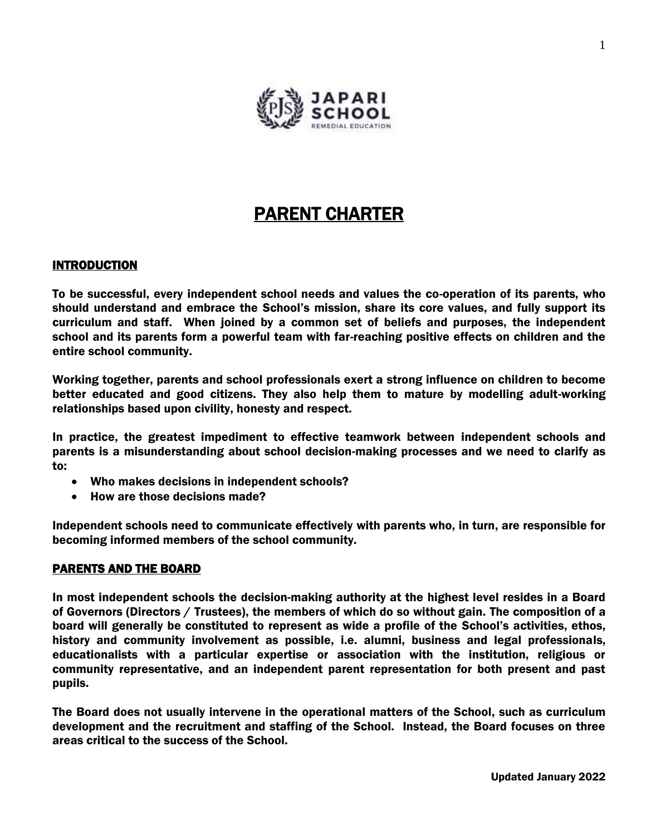

# PARENT CHARTER

## **INTRODUCTION**

To be successful, every independent school needs and values the co-operation of its parents, who should understand and embrace the School's mission, share its core values, and fully support its curriculum and staff. When joined by a common set of beliefs and purposes, the independent school and its parents form a powerful team with far-reaching positive effects on children and the entire school community.

Working together, parents and school professionals exert a strong influence on children to become better educated and good citizens. They also help them to mature by modelling adult-working relationships based upon civility, honesty and respect.

In practice, the greatest impediment to effective teamwork between independent schools and parents is a misunderstanding about school decision-making processes and we need to clarify as to:

- Who makes decisions in independent schools?
- How are those decisions made?

Independent schools need to communicate effectively with parents who, in turn, are responsible for becoming informed members of the school community.

## PARENTS AND THE BOARD

In most independent schools the decision-making authority at the highest level resides in a Board of Governors (Directors / Trustees), the members of which do so without gain. The composition of a board will generally be constituted to represent as wide a profile of the School's activities, ethos, history and community involvement as possible, i.e. alumni, business and legal professionals, educationalists with a particular expertise or association with the institution, religious or community representative, and an independent parent representation for both present and past pupils.

The Board does not usually intervene in the operational matters of the School, such as curriculum development and the recruitment and staffing of the School. Instead, the Board focuses on three areas critical to the success of the School.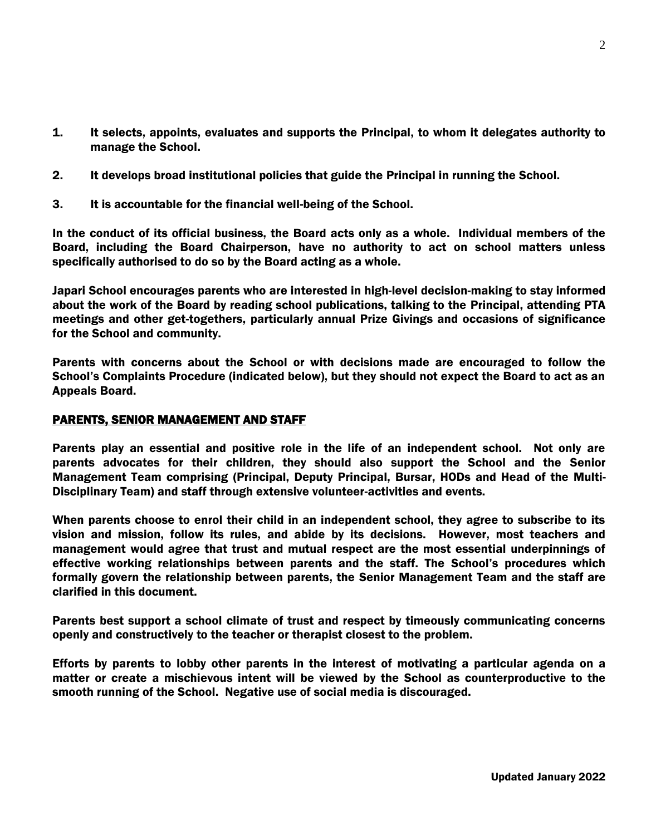- 1. It selects, appoints, evaluates and supports the Principal, to whom it delegates authority to manage the School.
- 2. It develops broad institutional policies that guide the Principal in running the School.
- 3. It is accountable for the financial well-being of the School.

In the conduct of its official business, the Board acts only as a whole. Individual members of the Board, including the Board Chairperson, have no authority to act on school matters unless specifically authorised to do so by the Board acting as a whole.

Japari School encourages parents who are interested in high-level decision-making to stay informed about the work of the Board by reading school publications, talking to the Principal, attending PTA meetings and other get-togethers, particularly annual Prize Givings and occasions of significance for the School and community.

Parents with concerns about the School or with decisions made are encouraged to follow the School's Complaints Procedure (indicated below), but they should not expect the Board to act as an Appeals Board.

## PARENTS, SENIOR MANAGEMENT AND STAFF

Parents play an essential and positive role in the life of an independent school. Not only are parents advocates for their children, they should also support the School and the Senior Management Team comprising (Principal, Deputy Principal, Bursar, HODs and Head of the Multi-Disciplinary Team) and staff through extensive volunteer-activities and events.

When parents choose to enrol their child in an independent school, they agree to subscribe to its vision and mission, follow its rules, and abide by its decisions. However, most teachers and management would agree that trust and mutual respect are the most essential underpinnings of effective working relationships between parents and the staff. The School's procedures which formally govern the relationship between parents, the Senior Management Team and the staff are clarified in this document.

Parents best support a school climate of trust and respect by timeously communicating concerns openly and constructively to the teacher or therapist closest to the problem.

Efforts by parents to lobby other parents in the interest of motivating a particular agenda on a matter or create a mischievous intent will be viewed by the School as counterproductive to the smooth running of the School. Negative use of social media is discouraged.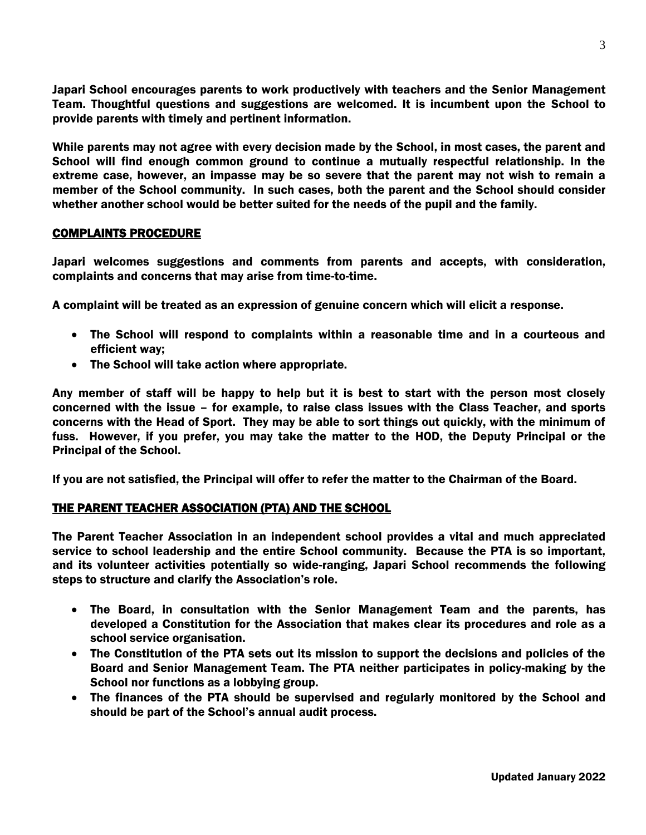Japari School encourages parents to work productively with teachers and the Senior Management Team. Thoughtful questions and suggestions are welcomed. It is incumbent upon the School to provide parents with timely and pertinent information.

While parents may not agree with every decision made by the School, in most cases, the parent and School will find enough common ground to continue a mutually respectful relationship. In the extreme case, however, an impasse may be so severe that the parent may not wish to remain a member of the School community. In such cases, both the parent and the School should consider whether another school would be better suited for the needs of the pupil and the family.

### COMPLAINTS PROCEDURE

Japari welcomes suggestions and comments from parents and accepts, with consideration, complaints and concerns that may arise from time-to-time.

A complaint will be treated as an expression of genuine concern which will elicit a response.

- The School will respond to complaints within a reasonable time and in a courteous and efficient way;
- The School will take action where appropriate.

Any member of staff will be happy to help but it is best to start with the person most closely concerned with the issue – for example, to raise class issues with the Class Teacher, and sports concerns with the Head of Sport. They may be able to sort things out quickly, with the minimum of fuss. However, if you prefer, you may take the matter to the HOD, the Deputy Principal or the Principal of the School.

If you are not satisfied, the Principal will offer to refer the matter to the Chairman of the Board.

## THE PARENT TEACHER ASSOCIATION (PTA) AND THE SCHOOL

The Parent Teacher Association in an independent school provides a vital and much appreciated service to school leadership and the entire School community. Because the PTA is so important, and its volunteer activities potentially so wide-ranging, Japari School recommends the following steps to structure and clarify the Association's role.

- The Board, in consultation with the Senior Management Team and the parents, has developed a Constitution for the Association that makes clear its procedures and role as a school service organisation.
- The Constitution of the PTA sets out its mission to support the decisions and policies of the Board and Senior Management Team. The PTA neither participates in policy-making by the School nor functions as a lobbying group.
- The finances of the PTA should be supervised and regularly monitored by the School and should be part of the School's annual audit process.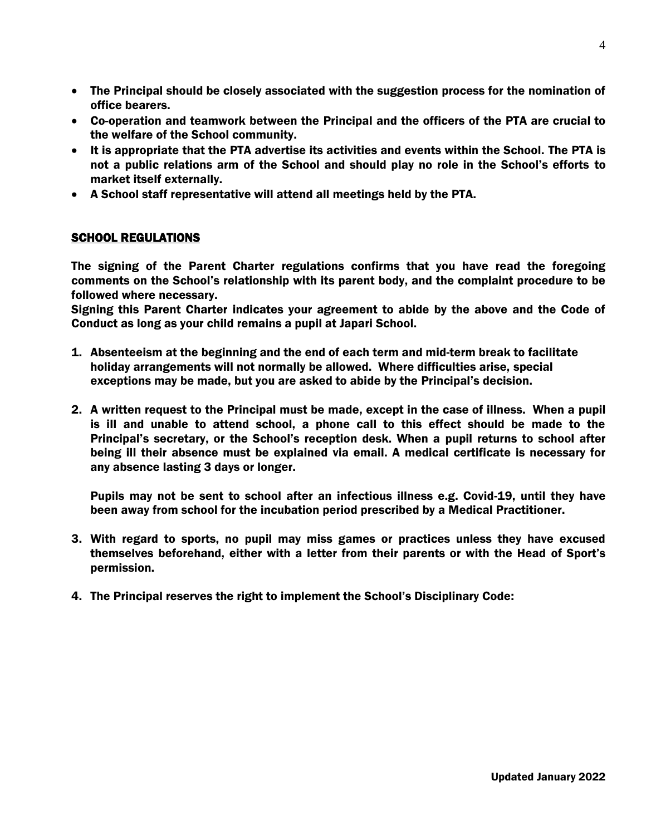- The Principal should be closely associated with the suggestion process for the nomination of office bearers.
- Co-operation and teamwork between the Principal and the officers of the PTA are crucial to the welfare of the School community.
- It is appropriate that the PTA advertise its activities and events within the School. The PTA is not a public relations arm of the School and should play no role in the School's efforts to market itself externally.
- A School staff representative will attend all meetings held by the PTA.

## SCHOOL REGULATIONS

The signing of the Parent Charter regulations confirms that you have read the foregoing comments on the School's relationship with its parent body, and the complaint procedure to be followed where necessary.

Signing this Parent Charter indicates your agreement to abide by the above and the Code of Conduct as long as your child remains a pupil at Japari School.

- 1. Absenteeism at the beginning and the end of each term and mid-term break to facilitate holiday arrangements will not normally be allowed. Where difficulties arise, special exceptions may be made, but you are asked to abide by the Principal's decision.
- 2. A written request to the Principal must be made, except in the case of illness. When a pupil is ill and unable to attend school, a phone call to this effect should be made to the Principal's secretary, or the School's reception desk. When a pupil returns to school after being ill their absence must be explained via email. A medical certificate is necessary for any absence lasting 3 days or longer.

Pupils may not be sent to school after an infectious illness e.g. Covid-19, until they have been away from school for the incubation period prescribed by a Medical Practitioner.

- 3. With regard to sports, no pupil may miss games or practices unless they have excused themselves beforehand, either with a letter from their parents or with the Head of Sport's permission.
- 4. The Principal reserves the right to implement the School's Disciplinary Code: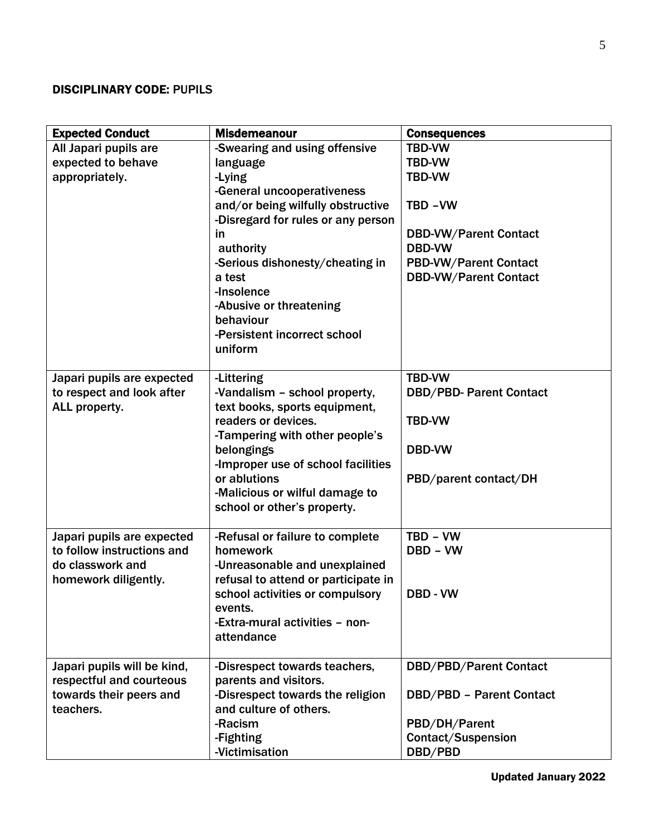# DISCIPLINARY CODE: PUPILS

| <b>Expected Conduct</b>                                                                              | <b>Misdemeanour</b>                                                                                                                                                                                                                                                                                                           | <b>Consequences</b>                                                                                                                                                        |
|------------------------------------------------------------------------------------------------------|-------------------------------------------------------------------------------------------------------------------------------------------------------------------------------------------------------------------------------------------------------------------------------------------------------------------------------|----------------------------------------------------------------------------------------------------------------------------------------------------------------------------|
| All Japari pupils are<br>expected to behave<br>appropriately.                                        | -Swearing and using offensive<br>language<br>-Lying<br>-General uncooperativeness<br>and/or being wilfully obstructive<br>-Disregard for rules or any person<br>in<br>authority<br>-Serious dishonesty/cheating in<br>a test<br>-Insolence<br>-Abusive or threatening<br>behaviour<br>-Persistent incorrect school<br>uniform | <b>TBD-VW</b><br><b>TBD-VW</b><br><b>TBD-VW</b><br>TBD-VW<br><b>DBD-VW/Parent Contact</b><br><b>DBD-VW</b><br><b>PBD-VW/Parent Contact</b><br><b>DBD-VW/Parent Contact</b> |
| Japari pupils are expected<br>to respect and look after<br>ALL property.                             | -Littering<br>-Vandalism - school property,<br>text books, sports equipment,<br>readers or devices.<br>-Tampering with other people's<br>belongings<br>-Improper use of school facilities<br>or ablutions<br>-Malicious or wilful damage to<br>school or other's property.                                                    | <b>TBD-VW</b><br><b>DBD/PBD- Parent Contact</b><br><b>TBD-VW</b><br><b>DBD-VW</b><br>PBD/parent contact/DH                                                                 |
| Japari pupils are expected<br>to follow instructions and<br>do classwork and<br>homework diligently. | -Refusal or failure to complete<br>homework<br>-Unreasonable and unexplained<br>refusal to attend or participate in<br>school activities or compulsory<br>events.<br>-Extra-mural activities - non-<br>attendance                                                                                                             | TBD - VW<br>DBD - VW<br>DBD - VW                                                                                                                                           |
| Japari pupils will be kind,<br>respectful and courteous<br>towards their peers and<br>teachers.      | -Disrespect towards teachers,<br>parents and visitors.<br>-Disrespect towards the religion<br>and culture of others.<br>-Racism<br>-Fighting<br>-Victimisation                                                                                                                                                                | <b>DBD/PBD/Parent Contact</b><br><b>DBD/PBD - Parent Contact</b><br>PBD/DH/Parent<br>Contact/Suspension<br>DBD/PBD                                                         |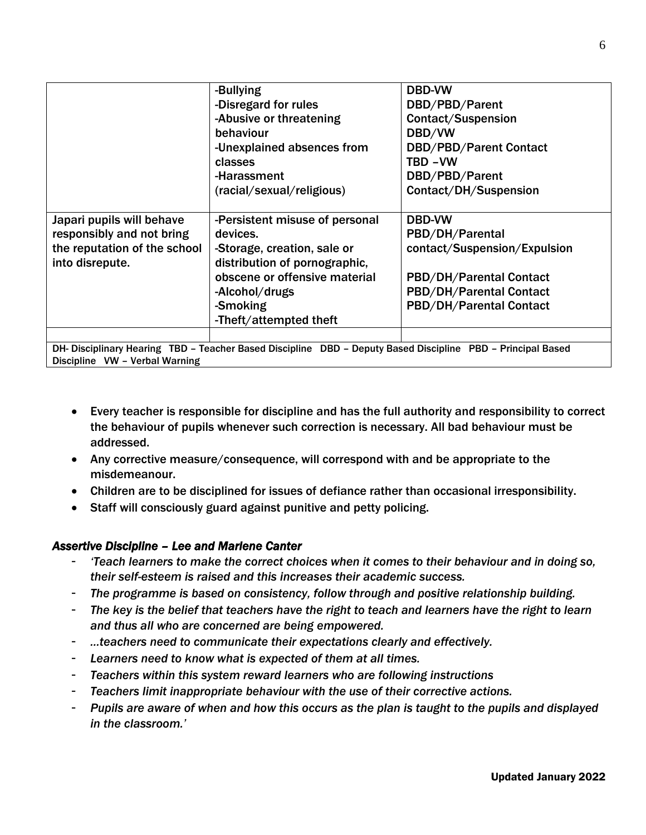|                                                                                                             | -Bullying<br>-Disregard for rules<br>-Abusive or threatening<br>behaviour<br>-Unexplained absences from<br>classes<br>-Harassment | <b>DBD-VW</b><br>DBD/PBD/Parent<br>Contact/Suspension<br>DBD/VW<br><b>DBD/PBD/Parent Contact</b><br>TBD-VW<br>DBD/PBD/Parent |  |
|-------------------------------------------------------------------------------------------------------------|-----------------------------------------------------------------------------------------------------------------------------------|------------------------------------------------------------------------------------------------------------------------------|--|
|                                                                                                             | (racial/sexual/religious)                                                                                                         | Contact/DH/Suspension                                                                                                        |  |
| Japari pupils will behave<br>responsibly and not bring                                                      | -Persistent misuse of personal<br>devices.                                                                                        | <b>DBD-VW</b><br>PBD/DH/Parental                                                                                             |  |
| the reputation of the school<br>into disrepute.                                                             | -Storage, creation, sale or<br>distribution of pornographic,                                                                      | contact/Suspension/Expulsion                                                                                                 |  |
|                                                                                                             | obscene or offensive material                                                                                                     | <b>PBD/DH/Parental Contact</b>                                                                                               |  |
|                                                                                                             | -Alcohol/drugs                                                                                                                    | <b>PBD/DH/Parental Contact</b>                                                                                               |  |
|                                                                                                             | -Smoking<br>-Theft/attempted theft                                                                                                | <b>PBD/DH/Parental Contact</b>                                                                                               |  |
| DH- Disciplinary Hearing TBD - Teacher Based Discipline DBD - Deputy Based Discipline PBD - Principal Based |                                                                                                                                   |                                                                                                                              |  |

Based Discipline - DBD – Deputy Based Discipline - PBD – Principal Based Discipline VW – Verbal Warning

- Every teacher is responsible for discipline and has the full authority and responsibility to correct the behaviour of pupils whenever such correction is necessary. All bad behaviour must be addressed.
- Any corrective measure/consequence, will correspond with and be appropriate to the misdemeanour.
- Children are to be disciplined for issues of defiance rather than occasional irresponsibility.
- Staff will consciously guard against punitive and petty policing.

## *Assertive Discipline – Lee and Marlene Canter*

- *'Teach learners to make the correct choices when it comes to their behaviour and in doing so, their self-esteem is raised and this increases their academic success.*
- *The programme is based on consistency, follow through and positive relationship building.*
- *The key is the belief that teachers have the right to teach and learners have the right to learn and thus all who are concerned are being empowered.*
- *…teachers need to communicate their expectations clearly and effectively.*
- Learners need to know what is expected of them at all times.
- *Teachers within this system reward learners who are following instructions*
- *Teachers limit inappropriate behaviour with the use of their corrective actions.*
- *Pupils are aware of when and how this occurs as the plan is taught to the pupils and displayed in the classroom.'*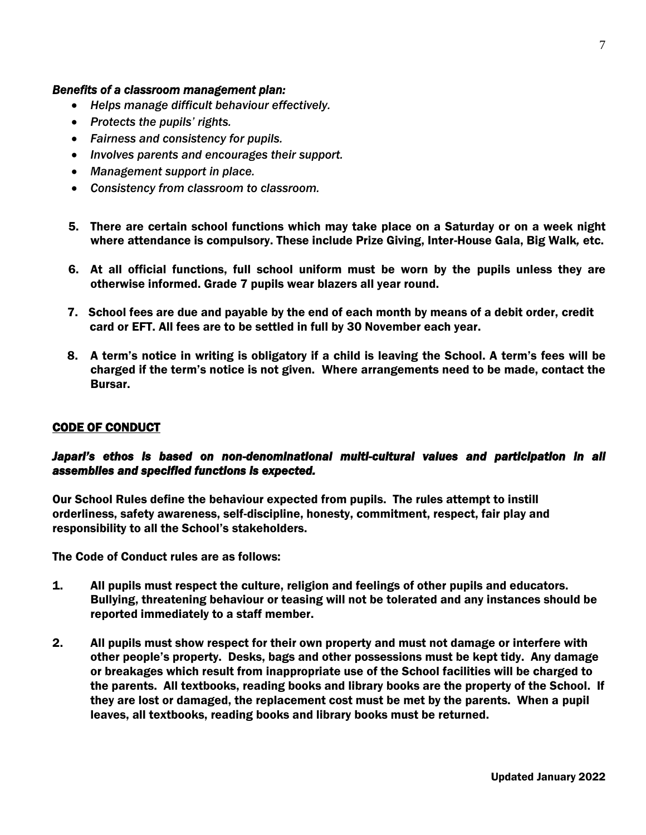#### *Benefits of a classroom management plan:*

- *Helps manage difficult behaviour effectively.*
- *Protects the pupils' rights.*
- *Fairness and consistency for pupils.*
- *Involves parents and encourages their support.*
- *Management support in place.*
- *Consistency from classroom to classroom.*
- 5. There are certain school functions which may take place on a Saturday or on a week night where attendance is compulsory. These include Prize Giving, Inter-House Gala, Big Walk*,* etc.
- 6. At all official functions, full school uniform must be worn by the pupils unless they are otherwise informed. Grade 7 pupils wear blazers all year round.
- 7. School fees are due and payable by the end of each month by means of a debit order, credit card or EFT. All fees are to be settled in full by 30 November each year.
- 8. A term's notice in writing is obligatory if a child is leaving the School. A term's fees will be charged if the term's notice is not given. Where arrangements need to be made, contact the Bursar.

#### CODE OF CONDUCT

## *Japari's ethos is based on non-denominational multi-cultural values and participation in all assemblies and specified functions is expected.*

Our School Rules define the behaviour expected from pupils. The rules attempt to instill orderliness, safety awareness, self-discipline, honesty, commitment, respect, fair play and responsibility to all the School's stakeholders.

The Code of Conduct rules are as follows:

- 1. All pupils must respect the culture, religion and feelings of other pupils and educators. Bullying, threatening behaviour or teasing will not be tolerated and any instances should be reported immediately to a staff member.
- 2. All pupils must show respect for their own property and must not damage or interfere with other people's property. Desks, bags and other possessions must be kept tidy. Any damage or breakages which result from inappropriate use of the School facilities will be charged to the parents. All textbooks, reading books and library books are the property of the School. If they are lost or damaged, the replacement cost must be met by the parents. When a pupil leaves, all textbooks, reading books and library books must be returned.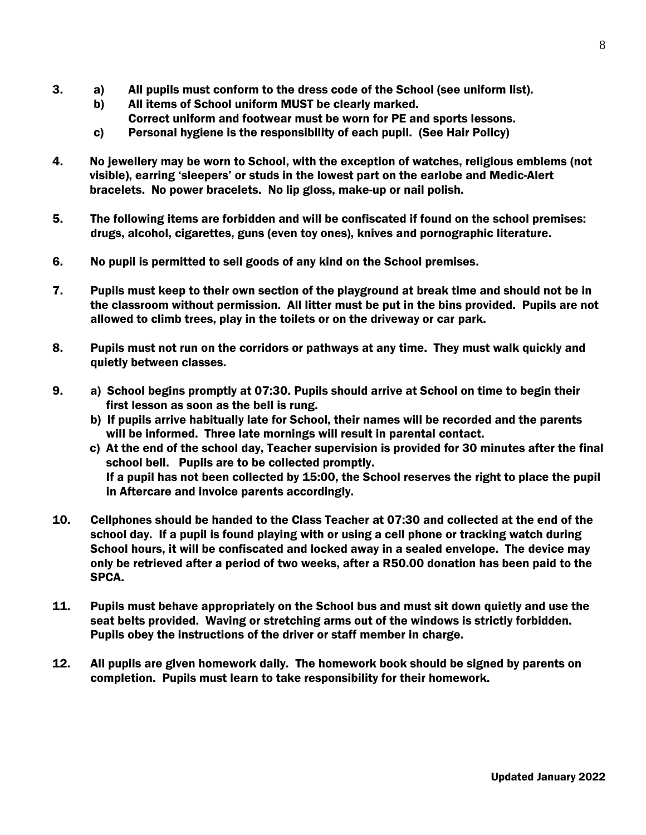- 3. a) All pupils must conform to the dress code of the School (see uniform list).
	- b) All items of School uniform MUST be clearly marked. Correct uniform and footwear must be worn for PE and sports lessons.
	- c) Personal hygiene is the responsibility of each pupil. (See Hair Policy)
- 4. No jewellery may be worn to School, with the exception of watches, religious emblems (not visible), earring 'sleepers' or studs in the lowest part on the earlobe and Medic-Alert bracelets. No power bracelets. No lip gloss, make-up or nail polish.
- 5. The following items are forbidden and will be confiscated if found on the school premises: drugs, alcohol, cigarettes, guns (even toy ones), knives and pornographic literature.
- 6. No pupil is permitted to sell goods of any kind on the School premises.
- 7. Pupils must keep to their own section of the playground at break time and should not be in the classroom without permission. All litter must be put in the bins provided. Pupils are not allowed to climb trees, play in the toilets or on the driveway or car park.
- 8. Pupils must not run on the corridors or pathways at any time. They must walk quickly and quietly between classes.
- 9. a) School begins promptly at 07:30. Pupils should arrive at School on time to begin their first lesson as soon as the bell is rung.
	- b) If pupils arrive habitually late for School, their names will be recorded and the parents will be informed. Three late mornings will result in parental contact.
	- c) At the end of the school day, Teacher supervision is provided for 30 minutes after the final school bell. Pupils are to be collected promptly. If a pupil has not been collected by 15:00, the School reserves the right to place the pupil in Aftercare and invoice parents accordingly.
- 10. Cellphones should be handed to the Class Teacher at 07:30 and collected at the end of the school day. If a pupil is found playing with or using a cell phone or tracking watch during School hours, it will be confiscated and locked away in a sealed envelope. The device may only be retrieved after a period of two weeks, after a R50.00 donation has been paid to the SPCA.
- 11. Pupils must behave appropriately on the School bus and must sit down quietly and use the seat belts provided. Waving or stretching arms out of the windows is strictly forbidden. Pupils obey the instructions of the driver or staff member in charge.
- 12. All pupils are given homework daily. The homework book should be signed by parents on completion. Pupils must learn to take responsibility for their homework.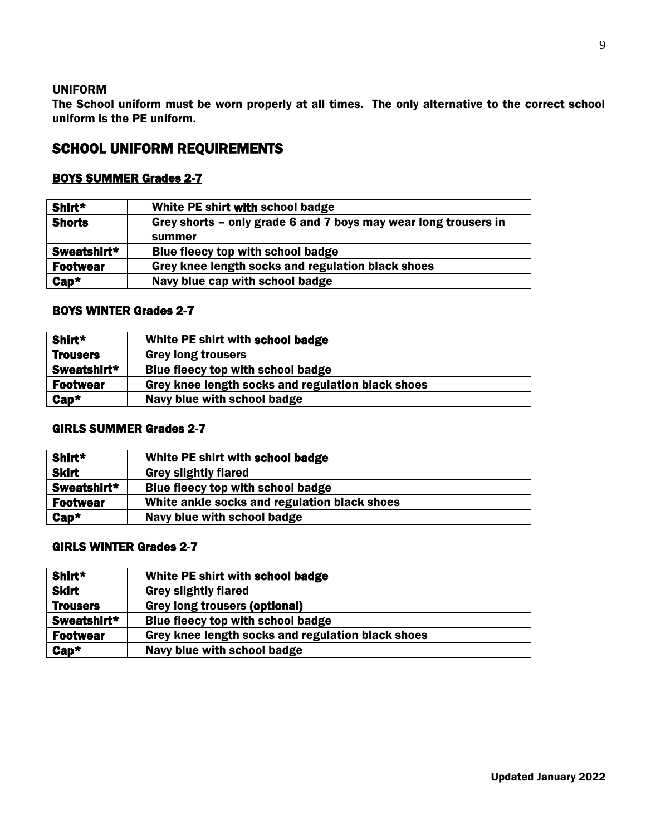## **UNIFORM**

The School uniform must be worn properly at all times. The only alternative to the correct school uniform is the PE uniform.

# SCHOOL UNIFORM REQUIREMENTS

## BOYS SUMMER Grades 2-7

| Shirt*          | White PE shirt with school badge                                |
|-----------------|-----------------------------------------------------------------|
| <b>Shorts</b>   | Grey shorts – only grade 6 and 7 boys may wear long trousers in |
|                 | summer                                                          |
| Sweatshirt*     | Blue fleecy top with school badge                               |
| <b>Footwear</b> | Grey knee length socks and regulation black shoes               |
| $Cap*$          | Navy blue cap with school badge                                 |

## BOYS WINTER Grades 2-7

| Shirt*          | White PE shirt with school badge                  |
|-----------------|---------------------------------------------------|
| <b>Trousers</b> | <b>Grey long trousers</b>                         |
| Sweatshirt*     | Blue fleecy top with school badge                 |
| <b>Footwear</b> | Grey knee length socks and regulation black shoes |
| $Cap^*$         | Navy blue with school badge                       |
|                 |                                                   |

## GIRLS SUMMER Grades 2-7

| Shirt*          | White PE shirt with school badge             |
|-----------------|----------------------------------------------|
| <b>Skirt</b>    | <b>Grey slightly flared</b>                  |
| Sweatshirt*     | Blue fleecy top with school badge            |
| <b>Footwear</b> | White ankle socks and regulation black shoes |
| $Cap^*$         | Navy blue with school badge                  |

## GIRLS WINTER Grades 2-7

| Shirt*          | White PE shirt with school badge                  |
|-----------------|---------------------------------------------------|
| <b>Skirt</b>    | <b>Grey slightly flared</b>                       |
| <b>Trousers</b> | <b>Grey long trousers (optional)</b>              |
| Sweatshirt*     | Blue fleecy top with school badge                 |
| <b>Footwear</b> | Grey knee length socks and regulation black shoes |
| $Cap^*$         | Navy blue with school badge                       |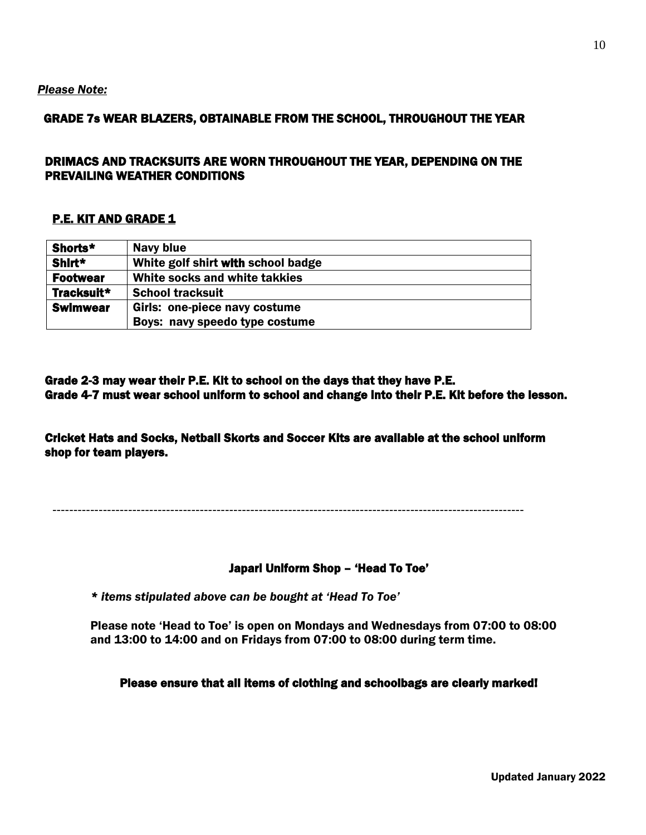#### *Please Note:*

## GRADE 7s WEAR BLAZERS, OBTAINABLE FROM THE SCHOOL, THROUGHOUT THE YEAR

## DRIMACS AND TRACKSUITS ARE WORN THROUGHOUT THE YEAR, DEPENDING ON THE PREVAILING WEATHER CONDITIONS

### P.E. KIT AND GRADE 1

| Shorts*         | Navy blue                          |
|-----------------|------------------------------------|
| Shirt*          | White golf shirt with school badge |
| <b>Footwear</b> | White socks and white takkies      |
| Tracksuit*      | <b>School tracksuit</b>            |
| <b>Swimwear</b> | Girls: one-piece navy costume      |
|                 | Boys: navy speedo type costume     |

Grade 2-3 may wear their P.E. Kit to school on the days that they have P.E. Grade 4-7 must wear school uniform to school and change into their P.E. Kit before the lesson.

Cricket Hats and Socks, Netball Skorts and Soccer Kits are available at the school uniform shop for team players.

----------------------------------------------------------------------------------------------------------------

#### Japari Uniform Shop – 'Head To Toe'

*\* items stipulated above can be bought at 'Head To Toe'*

Please note 'Head to Toe' is open on Mondays and Wednesdays from 07:00 to 08:00 and 13:00 to 14:00 and on Fridays from 07:00 to 08:00 during term time.

#### Please ensure that all items of clothing and schoolbags are clearly marked!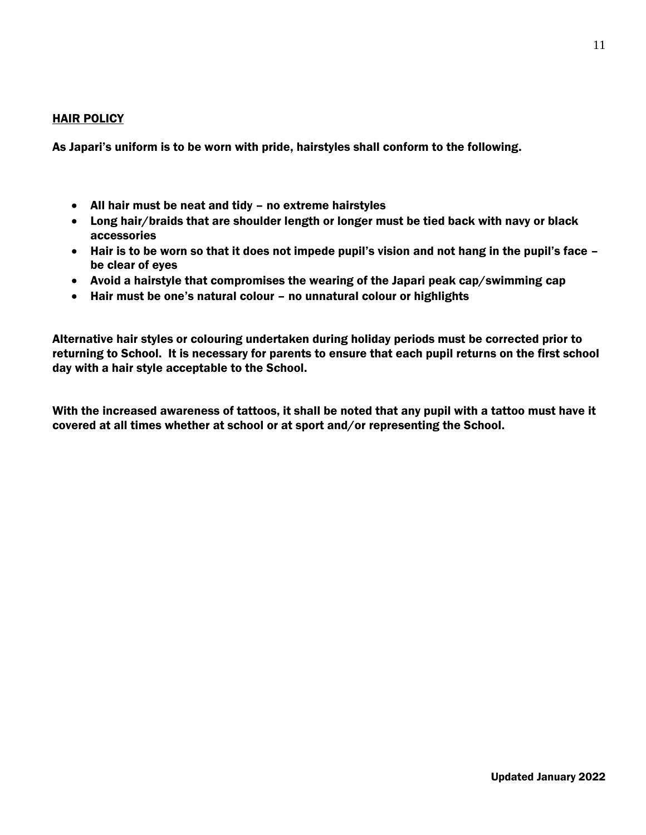## HAIR POLICY

As Japari's uniform is to be worn with pride, hairstyles shall conform to the following.

- All hair must be neat and tidy no extreme hairstyles
- Long hair/braids that are shoulder length or longer must be tied back with navy or black accessories
- Hair is to be worn so that it does not impede pupil's vision and not hang in the pupil's face be clear of eyes
- Avoid a hairstyle that compromises the wearing of the Japari peak cap/swimming cap
- Hair must be one's natural colour no unnatural colour or highlights

Alternative hair styles or colouring undertaken during holiday periods must be corrected prior to returning to School. It is necessary for parents to ensure that each pupil returns on the first school day with a hair style acceptable to the School.

With the increased awareness of tattoos, it shall be noted that any pupil with a tattoo must have it covered at all times whether at school or at sport and/or representing the School.